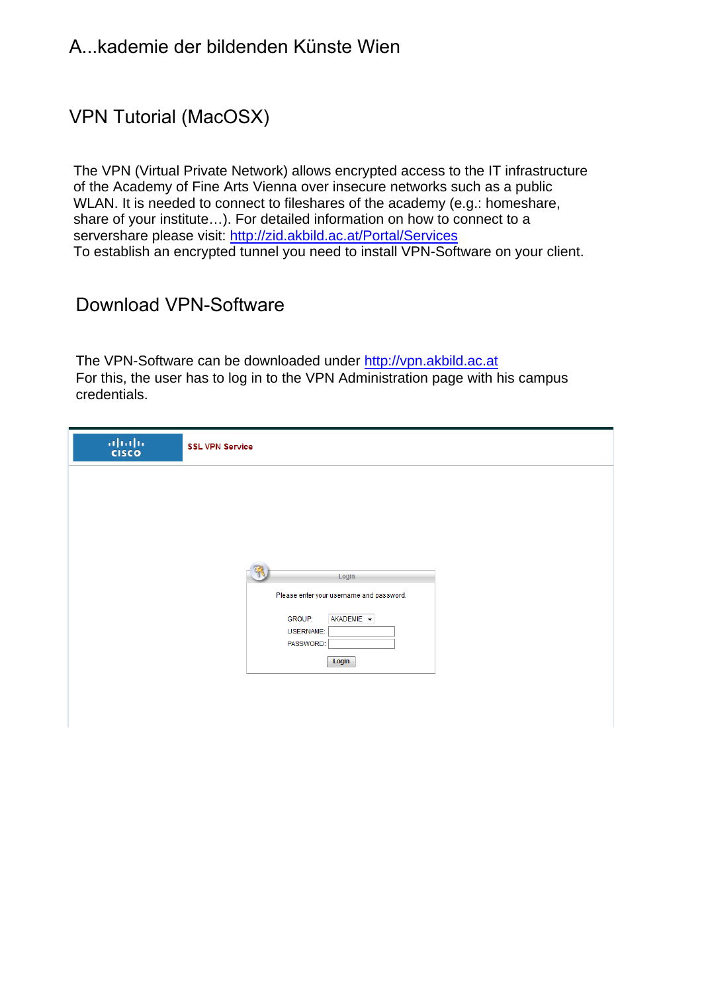### VPN Tutorial (MacOSX)

The VPN (Virtual Private Network) allows encrypted access to the IT infrastructure of the Academy of Fine Arts Vienna over insecure networks such as a public WLAN. It is needed to connect to fileshares of the academy (e.g.: homeshare, share of your institute…). For detailed information on how to connect to a servershare please visit: http://zid.akbild.ac.at/Portal/Services To establish an encrypted tunnel you need to install VPN-Software on your client.

### Download VPN-Software

The VPN-Software can be downloaded under http://vpn.akbild.ac.at For this, the user has to log in to the VPN Administration page with his campus credentials.

| $\frac{\partial  u(\cdot) }{\partial \text{ISCO}}$ | <b>SSL VPN Service</b>                            |
|----------------------------------------------------|---------------------------------------------------|
|                                                    |                                                   |
|                                                    |                                                   |
|                                                    |                                                   |
|                                                    | Login<br>Please enter your username and password. |
|                                                    | AKADEMIE -<br><b>GROUP:</b><br><b>USERNAME:</b>   |
|                                                    | PASSWORD:<br>Login                                |
|                                                    |                                                   |
|                                                    |                                                   |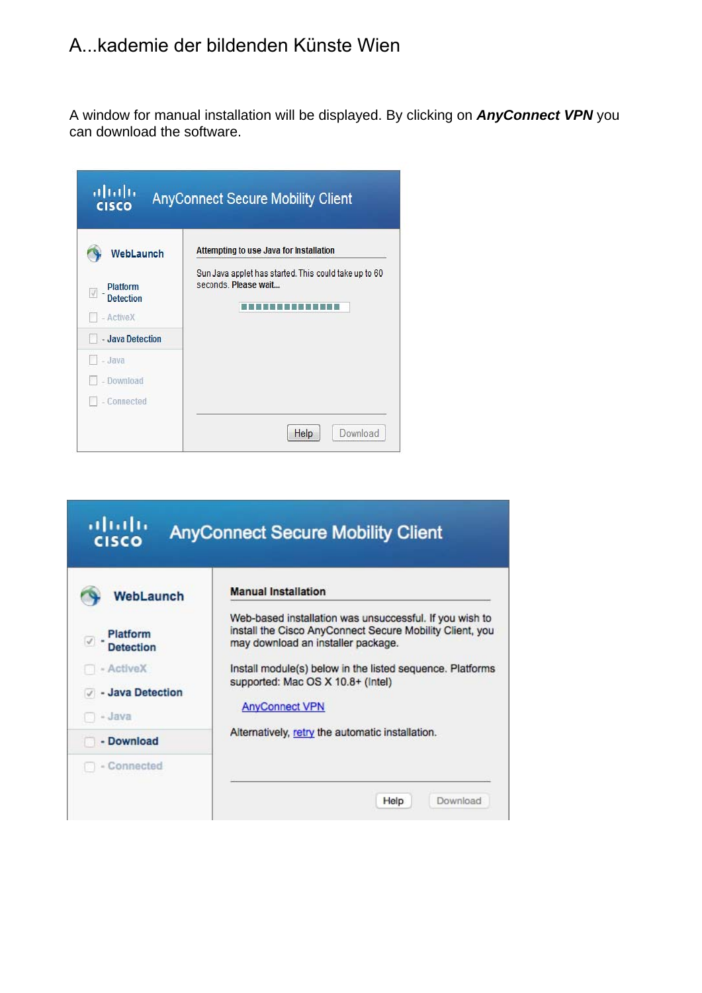A window for manual installation will be displayed. By clicking on *AnyConnect VPN* you can download the software.

| ahdh<br><b>CISCO</b>                                                       | <b>AnyConnect Secure Mobility Client</b>                                                                                 |
|----------------------------------------------------------------------------|--------------------------------------------------------------------------------------------------------------------------|
| WebLaunch<br>Platform<br><b>Detection</b><br>- ActiveX<br>- Java Detection | Attempting to use Java for Installation<br>Sun Java applet has started. This could take up to 60<br>seconds. Please wait |
| - Java<br>- Download<br>- Connected                                        | Download<br>Help                                                                                                         |

| altala<br><b>CISCO</b>        | <b>AnyConnect Secure Mobility Client</b>                                                                                                                  |
|-------------------------------|-----------------------------------------------------------------------------------------------------------------------------------------------------------|
| WebLaunch                     | <b>Manual Installation</b>                                                                                                                                |
| Platform<br><b>Detection</b>  | Web-based installation was unsuccessful. If you wish to<br>install the Cisco AnyConnect Secure Mobility Client, you<br>may download an installer package. |
| - ActiveX<br>- Java Detection | Install module(s) below in the listed sequence. Platforms<br>supported: Mac OS X 10.8+ (Intel)                                                            |
| - Java                        | <b>AnyConnect VPN</b>                                                                                                                                     |
| - Download                    | Alternatively, retry the automatic installation.                                                                                                          |
| - Connected                   |                                                                                                                                                           |
|                               | Download<br>Help                                                                                                                                          |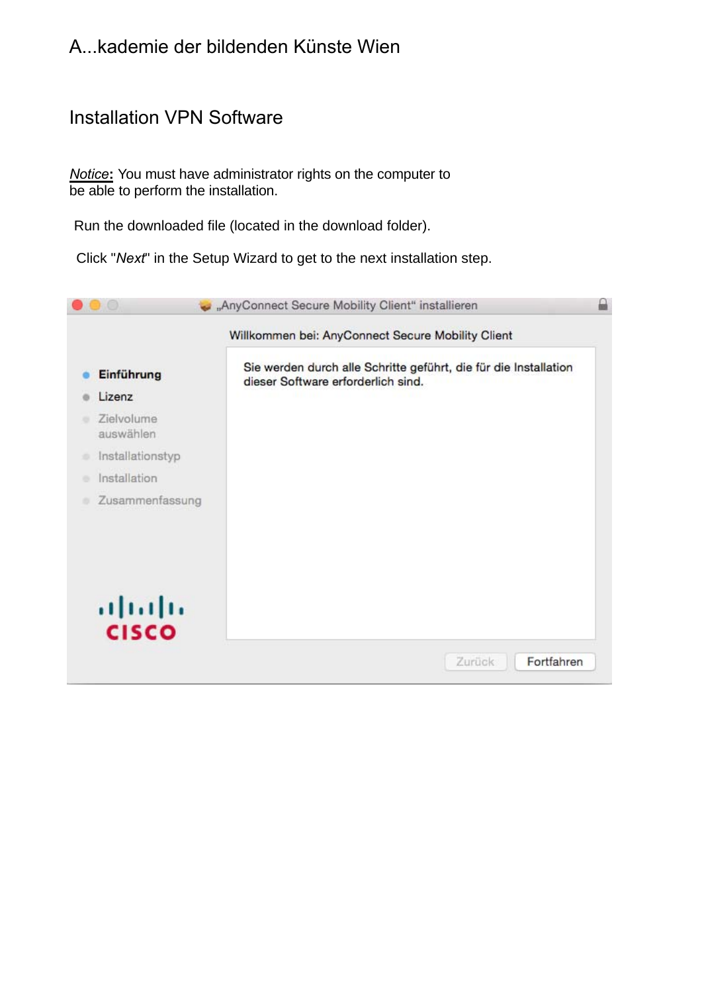### Installation VPN Software

*Notice***:** You must have administrator rights on the computer to be able to perform the installation.

Run the downloaded file (located in the download folder).

Click "*Next*" in the Setup Wizard to get to the next installation step.

|                         | Willkommen bei: AnyConnect Secure Mobility Client                                                      |
|-------------------------|--------------------------------------------------------------------------------------------------------|
| Einführung              | Sie werden durch alle Schritte geführt, die für die Installation<br>dieser Software erforderlich sind. |
| Lizenz                  |                                                                                                        |
| Zielvolume<br>auswählen |                                                                                                        |
| Installationstyp<br>۰   |                                                                                                        |
| Installation            |                                                                                                        |
| Zusammenfassung         |                                                                                                        |
| ajnajn<br><b>CISCO</b>  |                                                                                                        |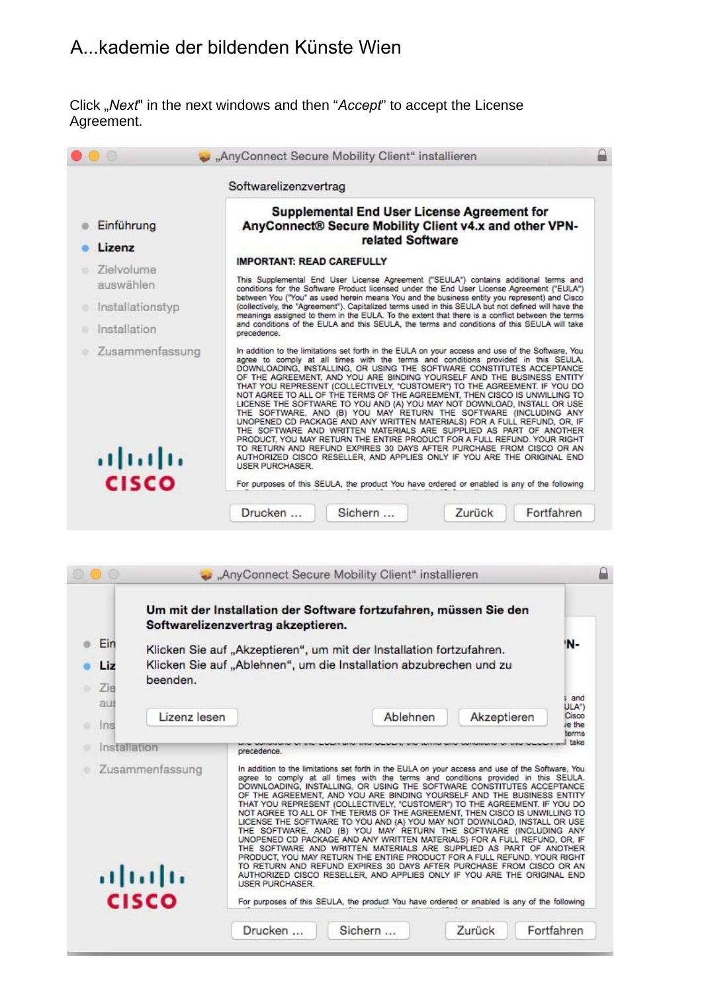Click "*Next*" in the next windows and then "*Accept*" to accept the License Agreement.

|                           | Softwarelizenzvertrag                                                                                                                                                                                                                                                                                                                                                                                                                                                                                                                                                                                                                                                                                                                                                                                                                                                                                                                                                                                                                                          |
|---------------------------|----------------------------------------------------------------------------------------------------------------------------------------------------------------------------------------------------------------------------------------------------------------------------------------------------------------------------------------------------------------------------------------------------------------------------------------------------------------------------------------------------------------------------------------------------------------------------------------------------------------------------------------------------------------------------------------------------------------------------------------------------------------------------------------------------------------------------------------------------------------------------------------------------------------------------------------------------------------------------------------------------------------------------------------------------------------|
| Einführung                | <b>Supplemental End User License Agreement for</b><br>AnyConnect® Secure Mobility Client v4.x and other VPN-<br>related Software                                                                                                                                                                                                                                                                                                                                                                                                                                                                                                                                                                                                                                                                                                                                                                                                                                                                                                                               |
| Lizenz                    | <b>IMPORTANT: READ CAREFULLY</b>                                                                                                                                                                                                                                                                                                                                                                                                                                                                                                                                                                                                                                                                                                                                                                                                                                                                                                                                                                                                                               |
| Zielvolume<br>auswählen   | This Supplemental End User License Agreement ("SEULA") contains additional terms and<br>conditions for the Software Product licensed under the End User License Agreement ("EULA")                                                                                                                                                                                                                                                                                                                                                                                                                                                                                                                                                                                                                                                                                                                                                                                                                                                                             |
| Installationstyp          | between You ("You" as used herein means You and the business entity you represent) and Cisco<br>(collectively, the "Agreement"). Capitalized terms used in this SEULA but not defined will have the<br>meanings assigned to them in the EULA. To the extent that there is a conflict between the terms                                                                                                                                                                                                                                                                                                                                                                                                                                                                                                                                                                                                                                                                                                                                                         |
| Installation              | and conditions of the EULA and this SEULA, the terms and conditions of this SEULA will take<br>precedence.                                                                                                                                                                                                                                                                                                                                                                                                                                                                                                                                                                                                                                                                                                                                                                                                                                                                                                                                                     |
| Zusammenfassung<br>ajnijn | In addition to the limitations set forth in the EULA on your access and use of the Software, You<br>agree to comply at all times with the terms and conditions provided in this SEULA.<br>DOWNLOADING, INSTALLING, OR USING THE SOFTWARE CONSTITUTES ACCEPTANCE<br>OF THE AGREEMENT, AND YOU ARE BINDING YOURSELF AND THE BUSINESS ENTITY<br>THAT YOU REPRESENT (COLLECTIVELY, "CUSTOMER") TO THE AGREEMENT. IF YOU DO<br>NOT AGREE TO ALL OF THE TERMS OF THE AGREEMENT. THEN CISCO IS UNWILLING TO<br>LICENSE THE SOFTWARE TO YOU AND (A) YOU MAY NOT DOWNLOAD, INSTALL OR USE<br>THE SOFTWARE, AND (B) YOU MAY RETURN THE SOFTWARE (INCLUDING ANY<br>UNOPENED CD PACKAGE AND ANY WRITTEN MATERIALS) FOR A FULL REFUND, OR, IF<br>THE SOFTWARE AND WRITTEN MATERIALS ARE SUPPLIED AS PART OF ANOTHER<br>PRODUCT, YOU MAY RETURN THE ENTIRE PRODUCT FOR A FULL REFUND. YOUR RIGHT<br>TO RETURN AND REFUND EXPIRES 30 DAYS AFTER PURCHASE FROM CISCO OR AN<br>AUTHORIZED CISCO RESELLER, AND APPLIES ONLY IF YOU ARE THE ORIGINAL END<br><b>USER PURCHASER</b> |

| Ein<br>Liz<br>beenden.<br>Zie<br>aus<br>Lizenz lesen<br>Ins<br>Installation<br>Zusammenfassung | Klicken Sie auf "Akzeptieren", um mit der Installation fortzufahren.<br>Klicken Sie auf "Ablehnen", um die Installation abzubrechen und zu<br>precedence.<br>In addition to the limitations set forth in the EULA on your access and use of the Software, You                                                                                                                                                                                                                                                                                                              | Ablehnen | Akzeptieren | ١N-                                                                                                                                                                                                                                                                                                                                                                                                                                                                                                  |
|------------------------------------------------------------------------------------------------|----------------------------------------------------------------------------------------------------------------------------------------------------------------------------------------------------------------------------------------------------------------------------------------------------------------------------------------------------------------------------------------------------------------------------------------------------------------------------------------------------------------------------------------------------------------------------|----------|-------------|------------------------------------------------------------------------------------------------------------------------------------------------------------------------------------------------------------------------------------------------------------------------------------------------------------------------------------------------------------------------------------------------------------------------------------------------------------------------------------------------------|
|                                                                                                |                                                                                                                                                                                                                                                                                                                                                                                                                                                                                                                                                                            |          |             | and<br>ULA")<br>Cisco<br>re the<br>terms<br>take                                                                                                                                                                                                                                                                                                                                                                                                                                                     |
|                                                                                                |                                                                                                                                                                                                                                                                                                                                                                                                                                                                                                                                                                            |          |             |                                                                                                                                                                                                                                                                                                                                                                                                                                                                                                      |
|                                                                                                |                                                                                                                                                                                                                                                                                                                                                                                                                                                                                                                                                                            |          |             |                                                                                                                                                                                                                                                                                                                                                                                                                                                                                                      |
|                                                                                                |                                                                                                                                                                                                                                                                                                                                                                                                                                                                                                                                                                            |          |             |                                                                                                                                                                                                                                                                                                                                                                                                                                                                                                      |
|                                                                                                |                                                                                                                                                                                                                                                                                                                                                                                                                                                                                                                                                                            |          |             |                                                                                                                                                                                                                                                                                                                                                                                                                                                                                                      |
| albaha                                                                                         | agree to comply at all times with the terms and conditions provided in this SEULA.<br>DOWNLOADING, INSTALLING, OR USING THE SOFTWARE CONSTITUTES ACCEPTANCE<br>OF THE AGREEMENT, AND YOU ARE BINDING YOURSELF AND THE BUSINESS ENTITY<br>THAT YOU REPRESENT (COLLECTIVELY, "CUSTOMER") TO THE AGREEMENT. IF YOU DO<br>NOT AGREE TO ALL OF THE TERMS OF THE AGREEMENT, THEN CISCO IS UNWILLING TO<br>LICENSE THE SOFTWARE TO YOU AND (A) YOU MAY NOT DOWNLOAD, INSTALL OR USE<br>THE SOFTWARE, AND (B) YOU MAY RETURN THE SOFTWARE (INCLUDING ANY<br><b>USER PURCHASER.</b> |          |             |                                                                                                                                                                                                                                                                                                                                                                                                                                                                                                      |
|                                                                                                |                                                                                                                                                                                                                                                                                                                                                                                                                                                                                                                                                                            |          |             |                                                                                                                                                                                                                                                                                                                                                                                                                                                                                                      |
|                                                                                                | <b>CISCO</b>                                                                                                                                                                                                                                                                                                                                                                                                                                                                                                                                                               | Drucken  | Sichern     | UNOPENED CD PACKAGE AND ANY WRITTEN MATERIALS) FOR A FULL REFUND, OR. IF<br>THE SOFTWARE AND WRITTEN MATERIALS ARE SUPPLIED AS PART OF ANOTHER<br>PRODUCT, YOU MAY RETURN THE ENTIRE PRODUCT FOR A FULL REFUND. YOUR RIGHT<br>TO RETURN AND REFUND EXPIRES 30 DAYS AFTER PURCHASE FROM CISCO OR AN<br>AUTHORIZED CISCO RESELLER, AND APPLIES ONLY IF YOU ARE THE ORIGINAL END<br>For purposes of this SEULA, the product You have ordered or enabled is any of the following<br>Zurück<br>Fortfahren |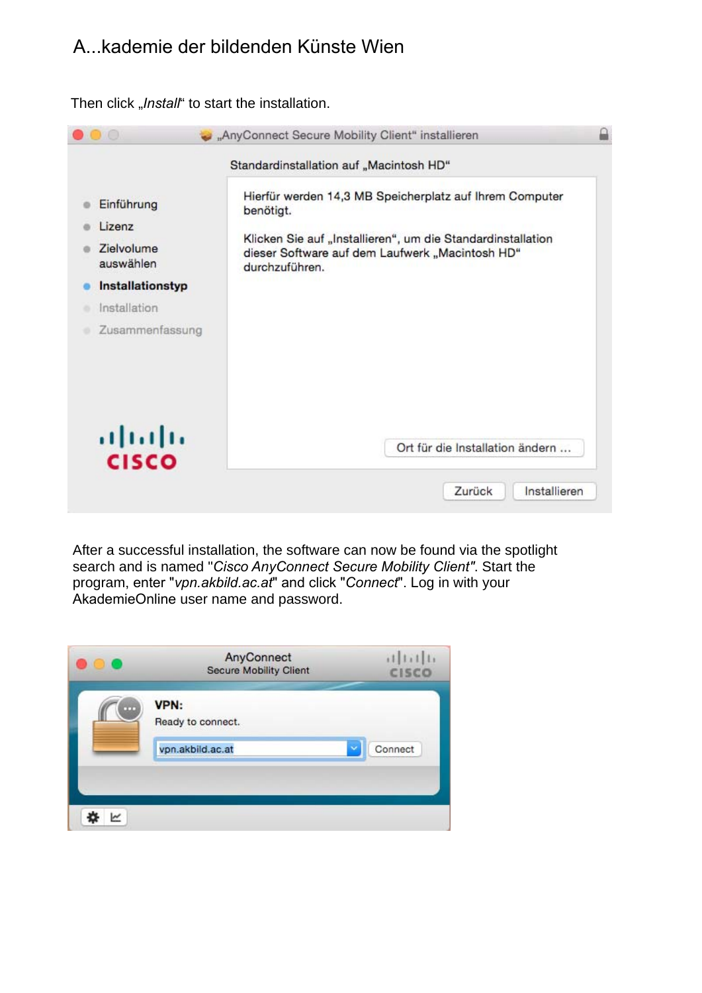Then click "Install" to start the installation.

| $\mathbf{O}$ ( $\mathbf{O}$ | "AnyConnect Secure Mobility Client" installieren                                                                                 |  |
|-----------------------------|----------------------------------------------------------------------------------------------------------------------------------|--|
|                             | Standardinstallation auf "Macintosh HD"                                                                                          |  |
| Einführung<br>Lizenz        | Hierfür werden 14,3 MB Speicherplatz auf Ihrem Computer<br>benötigt.                                                             |  |
| Zielvolume<br>auswählen     | Klicken Sie auf "Installieren", um die Standardinstallation<br>dieser Software auf dem Laufwerk "Macintosh HD"<br>durchzuführen. |  |
| Installationstyp            |                                                                                                                                  |  |
| Installation                |                                                                                                                                  |  |
| Zusammenfassung             |                                                                                                                                  |  |
| afrafra<br><b>CISCO</b>     | Ort für die Installation ändern                                                                                                  |  |
|                             | Installieren<br>Zurück                                                                                                           |  |

After a successful installation, the software can now be found via the spotlight search and is named "*Cisco AnyConnect Secure Mobility Client"*. Start the program, enter "*vpn.akbild.ac.at*" and click "*Connect*". Log in with your AkademieOnline user name and password.

|   | AnyConnect<br><b>Secure Mobility Client</b> | 11111<br><b>CISCO</b> |
|---|---------------------------------------------|-----------------------|
| m | VPN:<br>Ready to connect.                   |                       |
|   | vpn.akbild.ac.at                            | Connect<br>ŵ          |
|   |                                             |                       |
|   |                                             |                       |